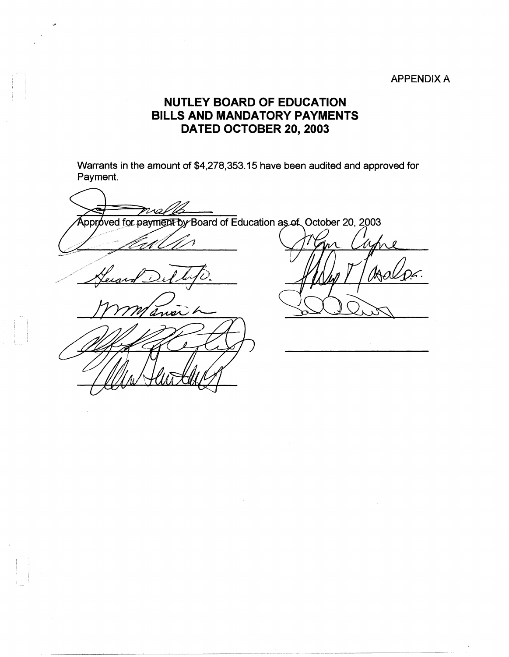## APPENDIX A

## **NUTLEY BOARD OF EDUCATION BILLS AND MANDATORY PAYMENTS DATED OCTOBER 20, 2003**

Warrants in the amount of \$4,278,353.15 have been audited and approved for Payment.

Approved for payment by Board of Education as of October 20, 2003 aner

-  $\mathbb{R}^n$ I I  $\frac{1}{1}$ 

-  $\bigcap_{i=1}^n$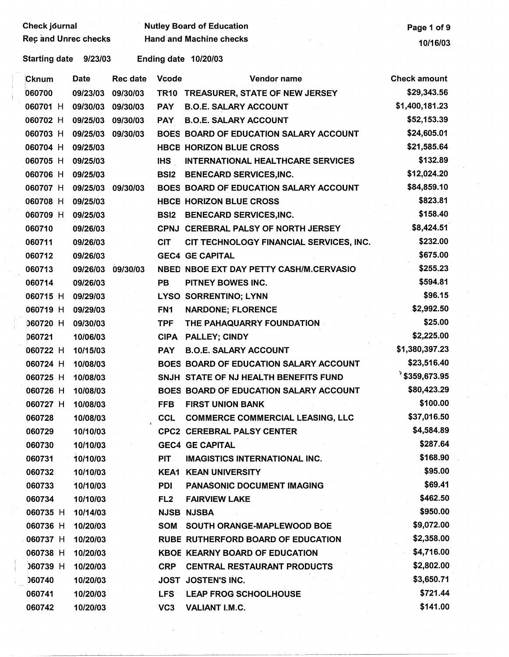Check j6urnal · Nutley Board of Education Page 1 of 9 **Read and Machine checks** 10/16/03 10/16/03

Starting date 9/23/03 Ending date 10/20/03

| Cknum    | <b>Date</b>       | Rec date | <b>Vcode</b>    | Vendor name                                   | <b>Check amount</b> |
|----------|-------------------|----------|-----------------|-----------------------------------------------|---------------------|
| 060700   | 09/23/03          | 09/30/03 | <b>TR10</b>     | TREASURER, STATE OF NEW JERSEY                | \$29,343.56         |
| 060701 H | 09/30/03 09/30/03 |          | <b>PAY</b>      | <b>B.O.E. SALARY ACCOUNT</b>                  | \$1,400,181.23      |
| 060702 H | 09/25/03          | 09/30/03 | <b>PAY</b>      | <b>B.O.E. SALARY ACCOUNT</b>                  | \$52,153.39         |
| 060703 H | 09/25/03          | 09/30/03 |                 | BOES BOARD OF EDUCATION SALARY ACCOUNT        | \$24,605.01         |
| 060704 H | 09/25/03          |          |                 | <b>HBCB HORIZON BLUE CROSS</b>                | \$21,585.64         |
| 060705 H | 09/25/03          |          | <b>IHS</b>      | <b>INTERNATIONAL HEALTHCARE SERVICES</b>      | \$132.89            |
| 060706 H | 09/25/03          |          | <b>BSI2</b>     | <b>BENECARD SERVICES, INC.</b>                | \$12,024.20         |
| 060707 H | 09/25/03          | 09/30/03 |                 | BOES BOARD OF EDUCATION SALARY ACCOUNT        | \$84,859.10         |
| 060708 H | 09/25/03          |          |                 | <b>HBCB HORIZON BLUE CROSS</b>                | \$823.81            |
| 060709 H | 09/25/03          |          | <b>BSI2</b>     | <b>BENECARD SERVICES, INC.</b>                | \$158.40            |
| 060710   | 09/26/03          |          |                 | CPNJ CEREBRAL PALSY OF NORTH JERSEY           | \$8,424.51          |
| 060711   | 09/26/03          |          | <b>CIT</b>      | CIT TECHNOLOGY FINANCIAL SERVICES, INC.       | \$232.00            |
| 060712   | 09/26/03          |          |                 | <b>GEC4 GE CAPITAL</b>                        | \$675.00            |
| 060713   | 09/26/03          | 09/30/03 |                 | NBED NBOE EXT DAY PETTY CASH/M.CERVASIO       | \$255.23            |
| 060714   | 09/26/03          |          | PB              | PITNEY BOWES INC.                             | \$594.81            |
| 060715 H | 09/29/03          |          |                 | LYSO SORRENTINO; LYNN                         | \$96.15             |
| 060719 H | 09/29/03          |          | FN1             | <b>NARDONE; FLORENCE</b>                      | \$2,992.50          |
| 060720 H | 09/30/03          |          | <b>TPF</b>      | THE PAHAQUARRY FOUNDATION                     | \$25.00             |
| 060721   | 10/06/03          |          | <b>CIPA</b>     | <b>PALLEY; CINDY</b>                          | \$2,225.00          |
| 060722 H | 10/15/03          |          | <b>PAY</b>      | <b>B.O.E. SALARY ACCOUNT</b>                  | \$1,380,397.23      |
| 060724 H | 10/08/03          |          |                 | BOES BOARD OF EDUCATION SALARY ACCOUNT        | \$23,516.40         |
| 060725 H | 10/08/03          |          |                 | SNJH STATE OF NJ HEALTH BENEFITS FUND         | $*$ \$359,673.95    |
| 060726 H | 10/08/03          |          |                 | <b>BOES BOARD OF EDUCATION SALARY ACCOUNT</b> | \$80,423.29         |
| 060727 H | 10/08/03          |          | <b>FFB</b>      | <b>FIRST UNION BANK</b>                       | \$100.00            |
| 060728   | 10/08/03          |          | <b>CCL</b>      | <b>COMMERCE COMMERCIAL LEASING, LLC</b>       | \$37,016.50         |
| 060729   | 10/10/03          |          |                 | CPC2 CEREBRAL PALSY CENTER                    | \$4,584.89          |
| 060730   | 10/10/03          |          |                 | <b>GEC4 GE CAPITAL</b>                        | \$287.64            |
| 060731   | 10/10/03          |          | PIT.            | <b>IMAGISTICS INTERNATIONAL INC.</b>          | \$168.90            |
| 060732   | 10/10/03          |          |                 | <b>KEA1 KEAN UNIVERSITY</b>                   | \$95.00             |
| 060733   | 10/10/03          |          | PDI.            | PANASONIC DOCUMENT IMAGING                    | \$69.41             |
| 060734   | 10/10/03          |          | FL <sub>2</sub> | <b>FAIRVIEW LAKE</b>                          | \$462.50            |
| 060735 H | 10/14/03          |          |                 | <b>NJSB NJSBA</b>                             | \$950.00            |
| 060736 H | 10/20/03          |          |                 | SOM SOUTH ORANGE-MAPLEWOOD BOE                | \$9,072.00          |
| 060737 H | 10/20/03          |          |                 | <b>RUBE RUTHERFORD BOARD OF EDUCATION</b>     | \$2,358.00          |
| 060738 H | 10/20/03          |          |                 | <b>KBOE KEARNY BOARD OF EDUCATION</b>         | \$4,716.00          |
| 060739 H | 10/20/03          |          | CRP             | <b>CENTRAL RESTAURANT PRODUCTS</b>            | \$2,802.00          |
| 060740   | 10/20/03          |          |                 | JOST JOSTEN'S INC.                            | \$3,650.71          |
| 060741   | 10/20/03          |          | <b>LFS</b>      | <b>LEAP FROG SCHOOLHOUSE</b>                  | \$721.44            |
| 060742   | 10/20/03          |          | VC3             | VALIANT I.M.C.                                | \$141.00            |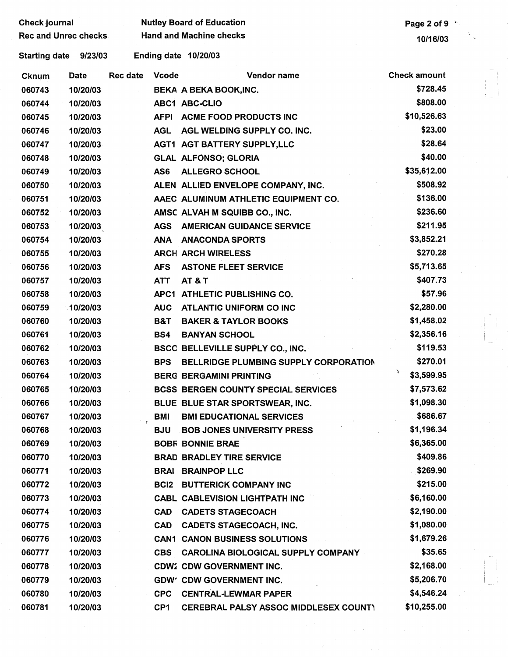| <b>Check journal</b>        |             |                 |                  | <b>Nutley Board of Education</b>             | Page 2 of 9 $\degree$ |
|-----------------------------|-------------|-----------------|------------------|----------------------------------------------|-----------------------|
| <b>Rec and Unrec checks</b> |             |                 |                  | <b>Hand and Machine checks</b>               | 10/16/03              |
| <b>Starting date</b>        | 9/23/03     |                 |                  | Ending date 10/20/03                         |                       |
| <b>Cknum</b>                | <b>Date</b> | <b>Rec date</b> | <b>Vcode</b>     | Vendor name                                  | <b>Check amount</b>   |
| 060743                      | 10/20/03    |                 |                  | BEKA A BEKA BOOK, INC.                       | \$728.45              |
| 060744                      | 10/20/03    |                 |                  | <b>ABC1 ABC-CLIO</b>                         | \$808.00              |
| 060745                      | 10/20/03    |                 | <b>AFPI</b>      | <b>ACME FOOD PRODUCTS INC</b>                | \$10,526.63           |
| 060746                      | 10/20/03    |                 | <b>AGL</b>       | AGL WELDING SUPPLY CO. INC.                  | \$23.00               |
| 060747                      | 10/20/03    |                 |                  | <b>AGT1 AGT BATTERY SUPPLY,LLC</b>           | \$28.64               |
| 060748                      | 10/20/03    |                 |                  | <b>GLAL ALFONSO; GLORIA</b>                  | \$40.00               |
| 060749                      | 10/20/03    |                 | AS6              | <b>ALLEGRO SCHOOL</b>                        | \$35,612.00           |
| 060750                      | 10/20/03    |                 |                  | ALEN ALLIED ENVELOPE COMPANY, INC.           | \$508.92              |
| 060751                      | 10/20/03    |                 |                  | AAEC ALUMINUM ATHLETIC EQUIPMENT CO.         | \$136.00              |
| 060752                      | 10/20/03    |                 |                  | AMSC ALVAH M SQUIBB CO., INC.                | \$236.60              |
| 060753                      | 10/20/03    |                 | <b>AGS</b>       | <b>AMERICAN GUIDANCE SERVICE</b>             | \$211.95              |
| 060754                      | 10/20/03    |                 | <b>ANA</b>       | <b>ANACONDA SPORTS</b>                       | \$3,852.21            |
| 060755                      | 10/20/03    |                 |                  | <b>ARCH ARCH WIRELESS</b>                    | \$270.28              |
| 060756                      | 10/20/03    |                 | <b>AFS</b>       | <b>ASTONE FLEET SERVICE</b>                  | \$5,713.65            |
| 060757                      | 10/20/03    |                 | <b>ATT</b>       | AT&T                                         | \$407.73              |
| 060758                      | 10/20/03    |                 |                  | APC1 ATHLETIC PUBLISHING CO.                 | \$57.96               |
| 060759                      | 10/20/03    |                 | <b>AUC</b>       | <b>ATLANTIC UNIFORM CO INC</b>               | \$2,280.00            |
| 060760                      | 10/20/03    |                 | B&T              | <b>BAKER &amp; TAYLOR BOOKS</b>              | \$1,458.02            |
| 060761                      | 10/20/03    |                 | BS4              | <b>BANYAN SCHOOL</b>                         | \$2,356.16            |
| 060762                      | 10/20/03    |                 |                  | <b>BSCC BELLEVILLE SUPPLY CO., INC.</b>      | \$119.53              |
| 060763                      | 10/20/03    |                 | <b>BPS</b>       | <b>BELLRIDGE PLUMBING SUPPLY CORPORATION</b> | \$270.01              |
| 060764                      | 10/20/03    |                 |                  | <b>BERG BERGAMINI PRINTING</b>               | Y.<br>\$3,599.95      |
| 060765                      | 10/20/03    |                 |                  | <b>BCSS BERGEN COUNTY SPECIAL SERVICES</b>   | \$7,573.62            |
| 060766                      | 10/20/03    |                 |                  | BLUE BLUE STAR SPORTSWEAR, INC.              | \$1,098.30            |
| 060767                      | 10/20/03    |                 | <b>BMI</b>       | <b>BMI EDUCATIONAL SERVICES</b>              | \$686.67              |
| 060768                      | 10/20/03    |                 | <b>BJU</b>       | <b>BOB JONES UNIVERSITY PRESS</b>            | \$1,196.34            |
| 060769                      | 10/20/03    |                 |                  | <b>BOBF BONNIE BRAE</b>                      | \$6,365.00            |
| 060770                      | 10/20/03    |                 |                  | <b>BRAD BRADLEY TIRE SERVICE</b>             | \$409.86              |
| 060771                      | 10/20/03    |                 | <b>BRAI</b>      | <b>BRAINPOP LLC</b>                          | \$269.90              |
| 060772                      | 10/20/03    |                 | BC <sub>12</sub> | <b>BUTTERICK COMPANY INC</b>                 | \$215.00              |
| 060773                      | 10/20/03    |                 |                  | <b>CABL CABLEVISION LIGHTPATH INC</b>        | \$6,160.00            |
| 060774                      | 10/20/03    |                 | <b>CAD</b>       | <b>CADETS STAGECOACH</b>                     | \$2,190.00            |
| 060775                      | 10/20/03    |                 | <b>CAD</b>       | <b>CADETS STAGECOACH, INC.</b>               | \$1,080.00            |
| 060776                      | 10/20/03    |                 |                  | <b>CAN1 CANON BUSINESS SOLUTIONS</b>         | \$1,679.26            |
| 060777                      | 10/20/03    |                 | <b>CBS</b>       | <b>CAROLINA BIOLOGICAL SUPPLY COMPANY</b>    | \$35.65               |
| 060778                      | 10/20/03    |                 |                  | <b>CDW2 CDW GOVERNMENT INC.</b>              | \$2,168.00            |
| 060779                      | 10/20/03    |                 |                  | <b>GDW' CDW GOVERNMENT INC.</b>              | \$5,206.70            |
| 060780                      | 10/20/03    |                 | <b>CPC</b>       | <b>CENTRAL-LEWMAR PAPER</b>                  | \$4,546.24            |
| 060781                      | 10/20/03    |                 | CP <sub>1</sub>  | CEREBRAL PALSY ASSOC MIDDLESEX COUNT)        | \$10,255.00           |

 $\label{eq:2} \frac{1}{2}\sum_{i=1}^n\frac{1}{2\pi i}\int_{\mathbb{R}^n} \frac{1}{2\pi i} \int_{\mathbb{R}^n} \frac{1}{2\pi i} \int_{\mathbb{R}^n} \frac{1}{2\pi i} \int_{\mathbb{R}^n} \frac{1}{2\pi i} \int_{\mathbb{R}^n} \frac{1}{2\pi i} \int_{\mathbb{R}^n} \frac{1}{2\pi i} \int_{\mathbb{R}^n} \frac{1}{2\pi i} \int_{\mathbb{R}^n} \frac{1}{2\pi i} \int_{\mathbb{R}^n} \$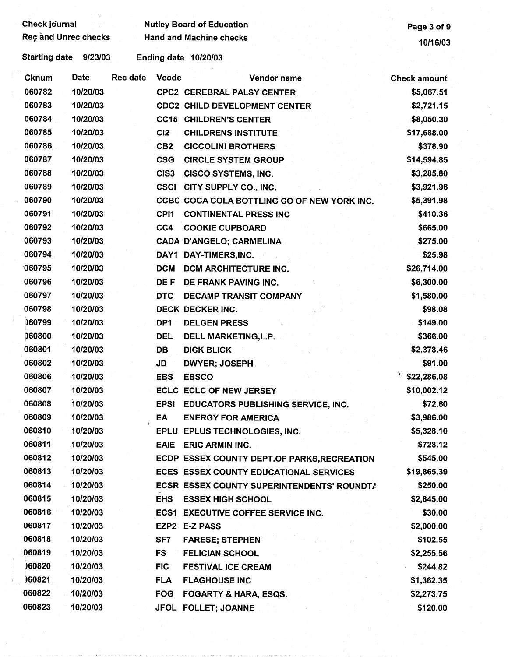| Check journal        |                      |                 |                  | <b>Nutley Board of Education</b>                  | Page 3 of 9         |
|----------------------|----------------------|-----------------|------------------|---------------------------------------------------|---------------------|
|                      | Rec and Unrec checks |                 |                  | <b>Hand and Machine checks</b>                    | 10/16/03            |
| <b>Starting date</b> | 9/23/03              |                 |                  | Ending date 10/20/03                              |                     |
| Cknum                | Date                 | <b>Rec date</b> | <b>Vcode</b>     | <b>Vendor name</b>                                | <b>Check amount</b> |
| 060782               | 10/20/03             |                 |                  | <b>CPC2 CEREBRAL PALSY CENTER</b>                 | \$5,067.51          |
| 060783               | 10/20/03             |                 |                  | <b>CDC2 CHILD DEVELOPMENT CENTER</b>              | \$2,721.15          |
| 060784               | 10/20/03             |                 |                  | <b>CC15 CHILDREN'S CENTER</b>                     | \$8,050.30          |
| 060785               | 10/20/03             |                 | C12              | <b>CHILDRENS INSTITUTE</b>                        | \$17,688.00         |
| 060786               | 10/20/03             |                 | CB <sub>2</sub>  | <b>CICCOLINI BROTHERS</b>                         | \$378.90            |
| 060787               | 10/20/03             |                 | <b>CSG</b>       | <b>CIRCLE SYSTEM GROUP</b>                        | \$14,594.85         |
| 060788               | 10/20/03             |                 | CIS <sub>3</sub> | <b>CISCO SYSTEMS, INC.</b>                        | \$3,285.80          |
| 060789               | 10/20/03             |                 | <b>CSCI</b>      | CITY SUPPLY CO., INC.                             | \$3,921.96          |
| 060790               | 10/20/03             |                 |                  | CCBC COCA COLA BOTTLING CO OF NEW YORK INC.       | \$5,391.98          |
| 060791               | 10/20/03             |                 | CPI <sub>1</sub> | <b>CONTINENTAL PRESS INC</b>                      | \$410.36            |
| 060792               | 10/20/03             |                 | CC4              | <b>COOKIE CUPBOARD</b>                            | \$665.00            |
| 060793               | 10/20/03             |                 |                  | <b>CADA D'ANGELO; CARMELINA</b>                   | \$275.00            |
| 060794               | 10/20/03             |                 |                  | DAY1 DAY-TIMERS, INC.                             | \$25.98             |
| 060795               | 10/20/03             |                 | <b>DCM</b>       | <b>DCM ARCHITECTURE INC.</b>                      | \$26,714.00         |
| 060796               | 10/20/03             |                 | DE F             | DE FRANK PAVING INC.                              | \$6,300.00          |
| 060797               | 10/20/03             |                 | <b>DTC</b>       | DECAMP TRANSIT COMPANY                            | \$1,580.00          |
| 060798               | 10/20/03             |                 |                  | DECK DECKER INC.                                  | \$98.08             |
| 060799               | 10/20/03             |                 | DP <sub>1</sub>  | <b>DELGEN PRESS</b>                               | \$149.00            |
| 060800               | 10/20/03             |                 | <b>DEL</b>       | DELL MARKETING, L.P.                              | \$366.00            |
| 060801               | 10/20/03             |                 | DB               | <b>DICK BLICK</b>                                 | \$2,378.46          |
| 060802               | 10/20/03             |                 | JD               | <b>DWYER; JOSEPH</b>                              | \$91.00             |
| 060806               | 10/20/03             |                 | <b>EBS</b>       | <b>EBSCO</b>                                      | \$22,286.08         |
| 060807               | 10/20/03             |                 |                  | ECLC ECLC OF NEW JERSEY                           | \$10,002.12         |
| 060808               | 10/20/03             |                 | <b>EPSI</b>      | EDUCATORS PUBLISHING SERVICE, INC.                | \$72.60             |
| 060809               | 10/20/03             |                 | EA               | <b>ENERGY FOR AMERICA</b>                         | \$3,986.00          |
| 060810               | 10/20/03             |                 |                  | EPLU EPLUS TECHNOLOGIES, INC.                     | \$5,328.10          |
| 060811               | 10/20/03             |                 | <b>EAIE</b>      | <b>ERIC ARMIN INC.</b>                            | \$728.12            |
| 060812               | 10/20/03             |                 |                  | ECDP ESSEX COUNTY DEPT.OF PARKS, RECREATION       | \$545.00            |
| 060813               | 10/20/03             |                 |                  | <b>ECES ESSEX COUNTY EDUCATIONAL SERVICES</b>     | \$19,865.39         |
| 060814               | 10/20/03             |                 |                  | <b>ECSR ESSEX COUNTY SUPERINTENDENTS' ROUNDTA</b> | \$250.00            |
| 060815               | 10/20/03             |                 | <b>EHS</b>       | <b>ESSEX HIGH SCHOOL</b>                          | \$2,845.00          |
| 060816               | 10/20/03             |                 |                  | ECS1 EXECUTIVE COFFEE SERVICE INC.                | \$30.00             |
| 060817               | 10/20/03             |                 |                  | EZP2 E-Z PASS                                     | \$2,000.00          |
| 060818               | 10/20/03             |                 | SF7              | <b>FARESE; STEPHEN</b>                            | \$102.55            |
| 060819               | 10/20/03             |                 | <b>FS</b>        | <b>FELICIAN SCHOOL</b>                            | \$2,255.56          |
| )60820               | 10/20/03             |                 | <b>FIC</b>       | <b>FESTIVAL ICE CREAM</b>                         | \$244.82            |
| 060821               | 10/20/03             |                 | <b>FLA</b>       | <b>FLAGHOUSE INC</b>                              | \$1,362.35          |
| 060822               | 10/20/03             |                 | <b>FOG</b>       | <b>FOGARTY &amp; HARA, ESQS.</b>                  | \$2,273.75          |
| 060823               | 10/20/03             |                 |                  | JFOL FOLLET; JOANNE                               | \$120.00            |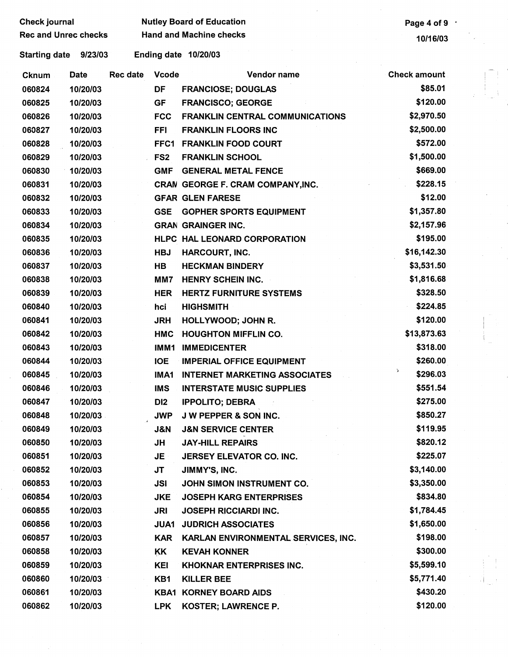| <b>Check journal</b>        |             |          |                 | <b>Nutley Board of Education</b>       | Page 4 of 9 .       |  |
|-----------------------------|-------------|----------|-----------------|----------------------------------------|---------------------|--|
| <b>Rec and Unrec checks</b> |             |          |                 | <b>Hand and Machine checks</b>         | 10/16/03            |  |
| <b>Starting date</b>        | 9/23/03     |          |                 | Ending date 10/20/03                   |                     |  |
| <b>Cknum</b>                | <b>Date</b> | Rec date | <b>Vcode</b>    | Vendor name                            | <b>Check amount</b> |  |
| 060824                      | 10/20/03    |          | DF              | <b>FRANCIOSE, DOUGLAS</b>              | \$85.01             |  |
| 060825                      | 10/20/03    |          | <b>GF</b>       | <b>FRANCISCO; GEORGE</b>               | \$120.00            |  |
| 060826                      | 10/20/03    |          | <b>FCC</b>      | <b>FRANKLIN CENTRAL COMMUNICATIONS</b> | \$2,970.50          |  |
| 060827                      | 10/20/03    |          | <b>FFI</b>      | <b>FRANKLIN FLOORS INC</b>             | \$2,500.00          |  |
| 060828                      | 10/20/03    |          |                 | FFC1 FRANKLIN FOOD COURT               | \$572.00            |  |
| 060829                      | 10/20/03    |          | FS <sub>2</sub> | <b>FRANKLIN SCHOOL</b>                 | \$1,500.00          |  |
| 060830                      | 10/20/03    |          | <b>GMF</b>      | <b>GENERAL METAL FENCE</b>             | \$669.00            |  |
| 060831                      | 10/20/03    |          |                 | CRAN GEORGE F. CRAM COMPANY, INC.      | \$228.15            |  |
| 060832                      | 10/20/03    |          |                 | <b>GFAR GLEN FARESE</b>                | \$12.00             |  |
| 060833                      | 10/20/03    |          | <b>GSE</b>      | <b>GOPHER SPORTS EQUIPMENT</b>         | \$1,357.80          |  |
| 060834                      | 10/20/03    |          |                 | <b>GRAN GRAINGER INC.</b>              | \$2,157.96          |  |
| 060835                      | 10/20/03    |          |                 | HLPC HAL LEONARD CORPORATION           | \$195.00            |  |
| 060836                      | 10/20/03    |          | <b>HBJ</b>      | <b>HARCOURT, INC.</b>                  | \$16,142.30         |  |
| 060837                      | 10/20/03    |          | HB              | <b>HECKMAN BINDERY</b>                 | \$3,531.50          |  |
| 060838                      | 10/20/03    |          | MM7             | HENRY SCHEIN INC.                      | \$1,816.68          |  |
| 060839                      | 10/20/03    |          | HER             | <b>HERTZ FURNITURE SYSTEMS</b>         | \$328.50            |  |
| 060840                      | 10/20/03    |          | hci             | <b>HIGHSMITH</b>                       | \$224.85            |  |
| 060841                      | 10/20/03    |          | <b>JRH</b>      | <b>HOLLYWOOD; JOHN R.</b>              | \$120.00            |  |
| 060842                      | 10/20/03    |          | <b>HMC</b>      | <b>HOUGHTON MIFFLIN CO.</b>            | \$13,873.63         |  |
| 060843                      | 10/20/03    |          | IMM1            | <b>IMMEDICENTER</b>                    | \$318.00            |  |
| 060844                      | 10/20/03    |          | <b>IOE</b>      | <b>IMPERIAL OFFICE EQUIPMENT</b>       | \$260.00            |  |
| 060845                      | 10/20/03    |          | IMA1            | <b>INTERNET MARKETING ASSOCIATES</b>   | э.<br>\$296.03      |  |
| 060846                      | 10/20/03    |          | <b>IMS</b>      | <b>INTERSTATE MUSIC SUPPLIES</b>       | \$551.54            |  |
| 060847                      | 10/20/03    |          | DI <sub>2</sub> | <b>IPPOLITO; DEBRA</b>                 | \$275.00            |  |
| 060848                      | 10/20/03    |          | <b>JWP</b>      | <b>JW PEPPER &amp; SON INC.</b>        | \$850.27            |  |
| 060849                      | 10/20/03    |          | J&N             | <b>J&amp;N SERVICE CENTER</b>          | \$119.95            |  |
| 060850                      | 10/20/03    |          | JH              | <b>JAY-HILL REPAIRS</b>                | \$820.12            |  |
| 060851                      | 10/20/03    |          | JE              | JERSEY ELEVATOR CO. INC.               | \$225.07            |  |
| 060852                      | 10/20/03    |          | JT              | JIMMY'S, INC.                          | \$3,140.00          |  |
| 060853                      | 10/20/03    |          | <b>JSI</b>      | JOHN SIMON INSTRUMENT CO.              | \$3,350.00          |  |
| 060854                      | 10/20/03    |          | <b>JKE</b>      | <b>JOSEPH KARG ENTERPRISES</b>         | \$834.80            |  |
| 060855                      | 10/20/03    |          | <b>JRI</b>      | <b>JOSEPH RICCIARDI INC.</b>           | \$1,784.45          |  |
| 060856                      | 10/20/03    |          | <b>JUA1</b>     | <b>JUDRICH ASSOCIATES</b>              | \$1,650.00          |  |
| 060857                      | 10/20/03    |          | KAR             | KARLAN ENVIRONMENTAL SERVICES, INC.    | \$198.00            |  |
| 060858                      | 10/20/03    |          | ΚK              | <b>KEVAH KONNER</b>                    | \$300.00            |  |
| 060859                      | 10/20/03    |          | KEI             | <b>KHOKNAR ENTERPRISES INC.</b>        | \$5,599.10          |  |
| 060860                      | 10/20/03    |          | KB1             | <b>KILLER BEE</b>                      | \$5,771.40          |  |
| 060861                      | 10/20/03    |          |                 | <b>KBA1 KORNEY BOARD AIDS</b>          | \$430.20            |  |
| 060862                      | 10/20/03    |          | <b>LPK</b>      | <b>KOSTER; LAWRENCE P.</b>             | \$120.00            |  |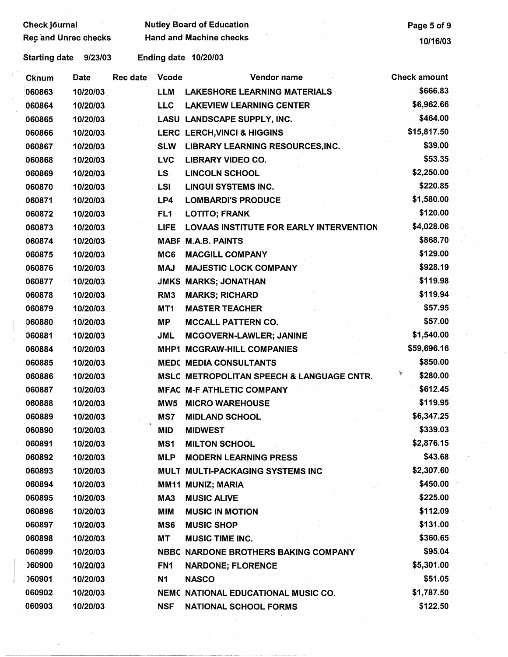| Check jõurnal               |          |                 |                 | <b>Nutley Board of Education</b>               | Page 5 of 9         |
|-----------------------------|----------|-----------------|-----------------|------------------------------------------------|---------------------|
| <b>Rec and Unrec checks</b> |          |                 |                 | <b>Hand and Machine checks</b>                 | 10/16/03            |
| <b>Starting date</b>        | 9/23/03  |                 |                 | Ending date 10/20/03                           |                     |
| Cknum                       | Date     | <b>Rec date</b> | <b>Vcode</b>    | Vendor name                                    | <b>Check amount</b> |
| 060863                      | 10/20/03 |                 | <b>LLM</b>      | <b>LAKESHORE LEARNING MATERIALS</b>            | \$666.83            |
| 060864                      | 10/20/03 |                 | <b>LLC</b>      | <b>LAKEVIEW LEARNING CENTER</b>                | \$6,962.66          |
| 060865                      | 10/20/03 |                 |                 | LASU LANDSCAPE SUPPLY, INC.                    | \$464.00            |
| 060866                      | 10/20/03 |                 |                 | LERC LERCH, VINCI & HIGGINS                    | \$15,817.50         |
| 060867                      | 10/20/03 |                 | <b>SLW</b>      | LIBRARY LEARNING RESOURCES, INC.               | \$39.00             |
| 060868                      | 10/20/03 |                 | <b>LVC</b>      | <b>LIBRARY VIDEO CO.</b>                       | \$53.35             |
| 060869                      | 10/20/03 |                 | <b>LS</b>       | <b>LINCOLN SCHOOL</b>                          | \$2,250.00          |
| 060870                      | 10/20/03 |                 | <b>LSI</b>      | <b>LINGUI SYSTEMS INC.</b>                     | \$220.85            |
| 060871                      | 10/20/03 |                 | LP4             | <b>LOMBARDI'S PRODUCE</b>                      | \$1,580.00          |
| 060872                      | 10/20/03 |                 | FL <sub>1</sub> | <b>LOTITO; FRANK</b>                           | \$120.00            |
| 060873                      | 10/20/03 |                 | <b>LIFE</b>     | <b>LOVAAS INSTITUTE FOR EARLY INTERVENTION</b> | \$4,028.06          |
| 060874                      | 10/20/03 |                 |                 | <b>MABF M.A.B. PAINTS</b>                      | \$868.70            |
| 060875                      | 10/20/03 |                 | MC6             | <b>MACGILL COMPANY</b>                         | \$129.00            |
| 060876                      | 10/20/03 |                 | <b>MAJ</b>      | <b>MAJESTIC LOCK COMPANY</b>                   | \$928.19            |
| 060877                      | 10/20/03 |                 |                 | <b>JMKS MARKS; JONATHAN</b>                    | \$119.98            |
| 060878                      | 10/20/03 |                 | RM <sub>3</sub> | <b>MARKS; RICHARD</b>                          | \$119.94            |
| 060879                      | 10/20/03 |                 | MT <sub>1</sub> | <b>MASTER TEACHER</b>                          | \$57.95             |
| 060880                      | 10/20/03 |                 | <b>MP</b>       | <b>MCCALL PATTERN CO.</b>                      | \$57.00             |
| 060881                      | 10/20/03 |                 | JML             | <b>MCGOVERN-LAWLER; JANINE</b>                 | \$1,540.00          |
| 060884                      | 10/20/03 |                 |                 | MHP1 MCGRAW-HILL COMPANIES                     | \$59,696.16         |
| 060885                      | 10/20/03 |                 |                 | <b>MEDC MEDIA CONSULTANTS</b>                  | \$850.00            |
| 060886                      | 10/20/03 |                 |                 | MSLC METROPOLITAN SPEECH & LANGUAGE CNTR.      | X<br>\$280.00       |
| 060887                      | 10/20/03 |                 |                 | <b>MFAC M-F ATHLETIC COMPANY</b>               | \$612.45            |
| 060888                      | 10/20/03 |                 | MW5             | <b>MICRO WAREHOUSE</b>                         | \$119.95            |
| 060889                      | 10/20/03 |                 | MS7             | <b>MIDLAND SCHOOL</b>                          | \$6,347.25          |
| 060890                      | 10/20/03 |                 | <b>MID</b>      | <b>MIDWEST</b>                                 | \$339.03            |
| 060891                      | 10/20/03 |                 | MS1             | <b>MILTON SCHOOL</b>                           | \$2,876.15          |
| 060892                      | 10/20/03 |                 | <b>MLP</b>      | <b>MODERN LEARNING PRESS</b>                   | \$43.68             |
| 060893                      | 10/20/03 |                 |                 | MULT MULTI-PACKAGING SYSTEMS INC               | \$2,307.60          |
| 060894                      | 10/20/03 |                 |                 | MM11 MUNIZ; MARIA                              | \$450.00            |
| 060895                      | 10/20/03 |                 | MA3             | <b>MUSIC ALIVE</b>                             | \$225.00            |
| 060896                      | 10/20/03 |                 | MIM             | <b>MUSIC IN MOTION</b>                         | \$112.09            |
| 060897                      | 10/20/03 |                 | MS6             | <b>MUSIC SHOP</b>                              | \$131.00            |
| 060898                      | 10/20/03 |                 | <b>MT</b>       | <b>MUSIC TIME INC.</b>                         | \$360.65            |
| 060899                      | 10/20/03 |                 |                 | NBBC NARDONE BROTHERS BAKING COMPANY           | \$95.04             |
| 060900                      | 10/20/03 |                 | FN <sub>1</sub> | <b>NARDONE; FLORENCE</b>                       | \$5,301.00          |
| 060901                      | 10/20/03 |                 | N1              | <b>NASCO</b>                                   | \$51.05             |
| 060902                      | 10/20/03 |                 |                 | NEMC NATIONAL EDUCATIONAL MUSIC CO.            | \$1,787.50          |
| 060903                      | 10/20/03 |                 | <b>NSF</b>      | <b>NATIONAL SCHOOL FORMS</b>                   | \$122.50            |

 $\frac{1}{2}$ 

 $\frac{1}{2}$ 

 $\frac{1}{\sqrt{2}}$ 

 $\mathbb{R}^2$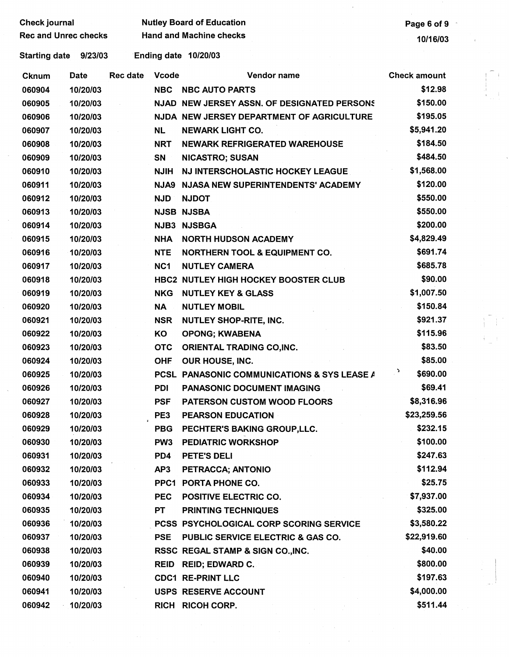| <b>Check journal</b>        | <b>Nutley Board of Education</b> | Page 6 of 9 |
|-----------------------------|----------------------------------|-------------|
| <b>Rec and Unrec checks</b> | <b>Hand and Machine checks</b>   | 10/16/03    |

Starting date 9/23/03 Ending date 10/20/03

| <b>Cknum</b> | Date     | Rec date | <b>Vcode</b>    | Vendor name                                       | <b>Check amount</b> |
|--------------|----------|----------|-----------------|---------------------------------------------------|---------------------|
| 060904       | 10/20/03 |          | <b>NBC</b>      | <b>NBC AUTO PARTS</b>                             | \$12.98             |
| 060905       | 10/20/03 |          |                 | NJAD NEW JERSEY ASSN. OF DESIGNATED PERSONS       | \$150.00            |
| 060906       | 10/20/03 |          |                 | NJDA NEW JERSEY DEPARTMENT OF AGRICULTURE         | \$195.05            |
| 060907       | 10/20/03 |          | <b>NL</b>       | <b>NEWARK LIGHT CO.</b>                           | \$5,941.20          |
| 060908       | 10/20/03 |          | <b>NRT</b>      | NEWARK REFRIGERATED WAREHOUSE                     | \$184.50            |
| 060909       | 10/20/03 |          | <b>SN</b>       | <b>NICASTRO; SUSAN</b>                            | \$484.50            |
| 060910       | 10/20/03 |          | <b>NJIH</b>     | NJ INTERSCHOLASTIC HOCKEY LEAGUE                  | \$1,568.00          |
| 060911       | 10/20/03 |          | <b>NJA9</b>     | NJASA NEW SUPERINTENDENTS' ACADEMY                | \$120.00            |
| 060912       | 10/20/03 |          | <b>NJD</b>      | <b>NJDOT</b>                                      | \$550.00            |
| 060913       | 10/20/03 |          |                 | <b>NJSB NJSBA</b>                                 | \$550.00            |
| 060914       | 10/20/03 |          | NJB3            | <b>NJSBGA</b>                                     | \$200.00            |
| 060915       | 10/20/03 |          | <b>NHA</b>      | <b>NORTH HUDSON ACADEMY</b>                       | \$4,829.49          |
| 060916       | 10/20/03 |          | <b>NTE</b>      | <b>NORTHERN TOOL &amp; EQUIPMENT CO.</b>          | \$691.74            |
| 060917       | 10/20/03 |          | NC <sub>1</sub> | <b>NUTLEY CAMERA</b>                              | \$685.78            |
| 060918       | 10/20/03 |          |                 | <b>HBC2 NUTLEY HIGH HOCKEY BOOSTER CLUB</b>       | \$90.00             |
| 060919       | 10/20/03 |          | <b>NKG</b>      | <b>NUTLEY KEY &amp; GLASS</b>                     | \$1,007.50          |
| 060920       | 10/20/03 |          | <b>NA</b>       | <b>NUTLEY MOBIL</b>                               | \$150.84            |
| 060921       | 10/20/03 |          | <b>NSR</b>      | <b>NUTLEY SHOP-RITE, INC.</b>                     | \$921.37            |
| 060922       | 10/20/03 |          | KO              | <b>OPONG; KWABENA</b>                             | \$115.96            |
| 060923       | 10/20/03 |          | <b>OTC</b>      | ORIENTAL TRADING CO, INC.                         | \$83.50             |
| 060924       | 10/20/03 |          | <b>OHF</b>      | OUR HOUSE, INC.                                   | \$85.00             |
| 060925       | 10/20/03 |          | <b>PCSL</b>     | <b>PANASONIC COMMUNICATIONS &amp; SYS LEASE A</b> | \$690.00            |
| 060926       | 10/20/03 |          | <b>PDI</b>      | <b>PANASONIC DOCUMENT IMAGING</b>                 | \$69.41             |
| 060927       | 10/20/03 |          | <b>PSF</b>      | PATERSON CUSTOM WOOD FLOORS                       | \$8,316.96          |
| 060928       | 10/20/03 |          | PE3             | <b>PEARSON EDUCATION</b>                          | \$23,259.56         |
| 060929       | 10/20/03 |          | <b>PBG</b>      | PECHTER'S BAKING GROUP,LLC.                       | \$232.15            |
| 060930       | 10/20/03 |          | PW <sub>3</sub> | <b>PEDIATRIC WORKSHOP</b>                         | \$100.00            |
| 060931       | 10/20/03 |          | PD4             | PETE'S DELI                                       | \$247.63            |
| 060932       | 10/20/03 |          | AP3             | PETRACCA; ANTONIO                                 | \$112.94            |
| 060933       | 10/20/03 |          | PPC1            | PORTA PHONE CO.                                   | \$25.75             |
| 060934       | 10/20/03 |          | <b>PEC</b>      | <b>POSITIVE ELECTRIC CO.</b>                      | \$7,937.00          |
| 060935       | 10/20/03 |          | PТ              | PRINTING TECHNIQUES                               | \$325.00            |
| 060936       | 10/20/03 |          |                 | PCSS PSYCHOLOGICAL CORP SCORING SERVICE           | \$3,580.22          |
| 060937       | 10/20/03 |          | <b>PSE</b>      | PUBLIC SERVICE ELECTRIC & GAS CO.                 | \$22,919.60         |
| 060938       | 10/20/03 |          |                 | RSSC REGAL STAMP & SIGN CO., INC.                 | \$40.00             |
| 060939       | 10/20/03 |          | <b>REID</b>     | <b>REID; EDWARD C.</b>                            | \$800.00            |
| 060940       | 10/20/03 |          |                 | <b>CDC1 RE-PRINT LLC</b>                          | \$197.63            |
| 060941       | 10/20/03 |          |                 | USPS RESERVE ACCOUNT                              | \$4,000.00          |
| 060942       | 10/20/03 |          |                 | RICH RICOH CORP.                                  | \$511.44            |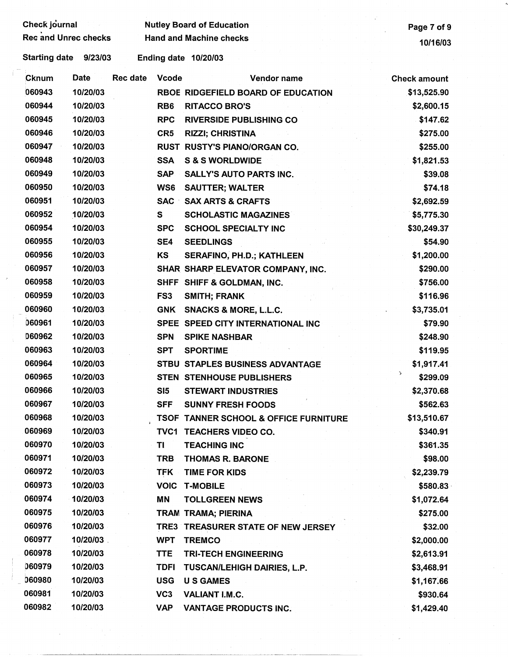Check journal Mutley Board of Education<br>Rec and Unrec checks Hand and Machine checks expansion and the check of 9

Starting date 9/23/03 Ending date 10/20/03

| <b>Cknum</b> | <b>Date</b> | <b>Rec date</b> | <b>Vcode</b>    | Vendor name                                 | <b>Check amount</b> |
|--------------|-------------|-----------------|-----------------|---------------------------------------------|---------------------|
| 060943       | 10/20/03    |                 |                 | RBOE RIDGEFIELD BOARD OF EDUCATION          | \$13,525.90         |
| 060944       | 10/20/03    |                 | RB <sub>6</sub> | <b>RITACCO BRO'S</b>                        | \$2,600.15          |
| 060945       | 10/20/03    |                 | <b>RPC</b>      | <b>RIVERSIDE PUBLISHING CO</b>              | \$147.62            |
| 060946       | 10/20/03    |                 | CR <sub>5</sub> | <b>RIZZI; CHRISTINA</b>                     | \$275.00            |
| 060947       | 10/20/03    |                 |                 | RUST RUSTY'S PIANO/ORGAN CO.                | \$255.00            |
| 060948       | 10/20/03    |                 | <b>SSA</b>      | <b>S &amp; S WORLDWIDE</b>                  | \$1,821.53          |
| 060949       | 10/20/03    |                 | <b>SAP</b>      | <b>SALLY'S AUTO PARTS INC.</b>              | \$39.08             |
| 060950       | 10/20/03    |                 | WS6             | <b>SAUTTER; WALTER</b>                      | \$74.18             |
| 060951       | 10/20/03    |                 | <b>SAC</b>      | <b>SAX ARTS &amp; CRAFTS</b>                | \$2,692.59          |
| 060952       | 10/20/03    |                 | $\mathbf{s}$    | <b>SCHOLASTIC MAGAZINES</b>                 | \$5,775.30          |
| 060954       | 10/20/03    |                 | <b>SPC</b>      | <b>SCHOOL SPECIALTY INC</b>                 | \$30,249.37         |
| 060955       | 10/20/03    |                 | SE4             | <b>SEEDLINGS</b>                            | \$54.90             |
| 060956       | 10/20/03    |                 | KS              | SERAFINO, PH.D.; KATHLEEN                   | \$1,200.00          |
| 060957       | 10/20/03    |                 |                 | SHAR SHARP ELEVATOR COMPANY, INC.           | \$290.00            |
| 060958       | 10/20/03    |                 |                 | SHFF SHIFF & GOLDMAN, INC.                  | \$756.00            |
| 060959       | 10/20/03    |                 | FS3             | <b>SMITH; FRANK</b>                         | \$116.96            |
| 060960       | 10/20/03    |                 | <b>GNK</b>      | <b>SNACKS &amp; MORE, L.L.C.</b>            | \$3,735.01          |
| 060961       | 10/20/03    |                 |                 | SPEE SPEED CITY INTERNATIONAL INC           | \$79.90             |
| 060962       | 10/20/03    |                 | <b>SPN</b>      | <b>SPIKE NASHBAR</b>                        | \$248.90            |
| 060963       | 10/20/03    |                 | <b>SPT</b>      | <b>SPORTIME</b>                             | \$119.95            |
| 060964       | 10/20/03    |                 |                 | <b>STBU STAPLES BUSINESS ADVANTAGE</b>      | \$1,917.41          |
| 060965       | 10/20/03    |                 |                 | <b>STEN STENHOUSE PUBLISHERS</b>            | J.<br>\$299.09      |
| 060966       | 10/20/03    |                 | SI5             | <b>STEWART INDUSTRIES</b>                   | \$2,370.68          |
| 060967       | 10/20/03    |                 | <b>SFF</b>      | <b>SUNNY FRESH FOODS</b>                    | \$562.63            |
| 060968       | 10/20/03    |                 | TSOF            | <b>TANNER SCHOOL &amp; OFFICE FURNITURE</b> | \$13,510.67         |
| 060969       | 10/20/03    |                 |                 | TVC1 TEACHERS VIDEO CO.                     | \$340.91            |
| 060970       | 10/20/03    |                 | TI              | <b>TEACHING INC</b>                         | \$361.35            |
| 060971       | 10/20/03    |                 | <b>TRB</b>      | <b>THOMAS R. BARONE</b>                     | \$98.00             |
| 060972       | 10/20/03    |                 | <b>TFK</b>      | TIME FOR KIDS                               | \$2,239.79          |
| 060973       | 10/20/03    |                 | <b>VOIC</b>     | <b>T-MOBILE</b>                             | \$580.83            |
| 060974       | 10/20/03    |                 | MN              | <b>TOLLGREEN NEWS</b>                       | \$1,072.64          |
| 060975       | 10/20/03    |                 |                 | TRAM TRAMA; PIERINA                         | \$275.00            |
| 060976       | 10/20/03    |                 |                 | TRE3 TREASURER STATE OF NEW JERSEY          | \$32.00             |
| 060977       | 10/20/03    |                 | <b>WPT</b>      | <b>TREMCO</b>                               | \$2,000.00          |
| 060978       | 10/20/03    |                 | <b>TTE</b>      | <b>TRI-TECH ENGINEERING</b>                 | \$2,613.91          |
| 060979       | 10/20/03    |                 | <b>TDFI</b>     | TUSCAN/LEHIGH DAIRIES, L.P.                 | \$3,468.91          |
| 060980       | 10/20/03    |                 | <b>USG</b>      | <b>US GAMES</b>                             | \$1,167.66          |
| 060981       | 10/20/03    |                 | VC <sub>3</sub> | <b>VALIANT I.M.C.</b>                       | \$930.64            |
| 060982       | 10/20/03    |                 | <b>VAP</b>      | VANTAGE PRODUCTS INC.                       | \$1,429.40          |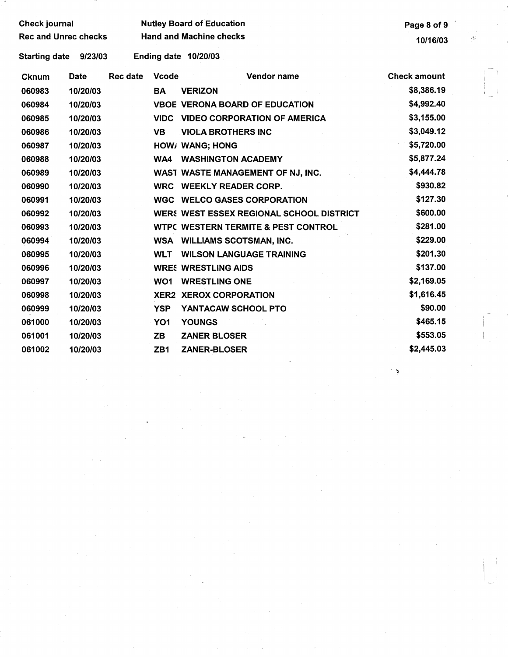| <b>Check journal</b>        |             |                 |                 | <b>Nutley Board of Education</b>               | Page 8 of 9         |          |
|-----------------------------|-------------|-----------------|-----------------|------------------------------------------------|---------------------|----------|
| <b>Rec and Unrec checks</b> |             |                 |                 | <b>Hand and Machine checks</b>                 | 10/16/03            | $\sim 1$ |
| <b>Starting date</b>        | 9/23/03     |                 |                 | Ending date 10/20/03                           |                     |          |
| <b>Cknum</b>                | <b>Date</b> | <b>Rec date</b> | <b>Vcode</b>    | Vendor name                                    | <b>Check amount</b> |          |
| 060983                      | 10/20/03    |                 | BA              | <b>VERIZON</b>                                 | \$8,386.19          |          |
| 060984                      | 10/20/03    |                 |                 | <b>VBOE VERONA BOARD OF EDUCATION</b>          | \$4,992.40          |          |
| 060985                      | 10/20/03    |                 | <b>VIDC</b>     | <b>VIDEO CORPORATION OF AMERICA</b>            | \$3,155.00          |          |
| 060986                      | 10/20/03    |                 | <b>VB</b>       | <b>VIOLA BROTHERS INC</b>                      | \$3,049.12          |          |
| 060987                      | 10/20/03    |                 |                 | HOW/ WANG; HONG                                | \$5,720.00          |          |
| 060988                      | 10/20/03    |                 | WA4             | <b>WASHINGTON ACADEMY</b>                      | \$5,877.24          |          |
| 060989                      | 10/20/03    |                 |                 | WAST WASTE MANAGEMENT OF NJ, INC.              | \$4,444.78          |          |
| 060990                      | 10/20/03    |                 |                 | WRC WEEKLY READER CORP.                        | \$930.82            |          |
| 060991                      | 10/20/03    |                 |                 | <b>WGC WELCO GASES CORPORATION</b>             | \$127.30            |          |
| 060992                      | 10/20/03    |                 |                 | WERS WEST ESSEX REGIONAL SCHOOL DISTRICT       | \$600.00            |          |
| 060993                      | 10/20/03    |                 |                 | <b>WTPC WESTERN TERMITE &amp; PEST CONTROL</b> | \$281.00            |          |
| 060994                      | 10/20/03    |                 | WSA             | <b>WILLIAMS SCOTSMAN, INC.</b>                 | \$229.00            |          |
| 060995                      | 10/20/03    |                 | <b>WLT</b>      | <b>WILSON LANGUAGE TRAINING</b>                | \$201.30            |          |
| 060996                      | 10/20/03    |                 |                 | <b>WRES WRESTLING AIDS</b>                     | \$137.00            |          |
| 060997                      | 10/20/03    |                 | WO <sub>1</sub> | <b>WRESTLING ONE</b>                           | \$2,169.05          |          |
| 060998                      | 10/20/03    |                 |                 | <b>XER2 XEROX CORPORATION</b>                  | \$1,616.45          |          |
| 060999                      | 10/20/03    |                 | <b>YSP</b>      | YANTACAW SCHOOL PTO                            | \$90.00             |          |
| 061000                      | 10/20/03    |                 | YO <sub>1</sub> | <b>YOUNGS</b>                                  | \$465.15            |          |
| 061001                      | 10/20/03    |                 | ZB              | <b>ZANER BLOSER</b>                            | \$553.05            |          |
| 061002                      | 10/20/03    |                 | ZB <sub>1</sub> | <b>ZANER-BLOSER</b>                            | \$2,445.03          |          |
|                             |             |                 |                 |                                                |                     |          |

 $\hat{S}^{(1)}$  ,  $\hat{S}^{(2)}$ 

 $\hat{J}$ 

 $\label{eq:2.1} \begin{split} \frac{1}{\sqrt{2\pi}}\left(\frac{1}{\sqrt{2\pi}}\right)^{1/2} &\frac{1}{\sqrt{2\pi}}\left(\frac{1}{\sqrt{2\pi}}\right)^{1/2} &\frac{1}{\sqrt{2\pi}}\left(\frac{1}{\sqrt{2\pi}}\right)^{1/2} &\frac{1}{\sqrt{2\pi}}\left(\frac{1}{\sqrt{2\pi}}\right)^{1/2} &\frac{1}{\sqrt{2\pi}}\left(\frac{1}{\sqrt{2\pi}}\right)^{1/2} &\frac{1}{\sqrt{2\pi}}\left(\frac{1}{\sqrt{2\pi}}\right)^{1$ 

 $\begin{aligned} \mathbf{3} & \qquad \qquad \mathbf{4} & \qquad \qquad \mathbf{5} & \qquad \mathbf{6} & \qquad \mathbf{7} \\ \mathbf{5} & \qquad \qquad \mathbf{5} & \qquad \qquad \mathbf{6} & \qquad \mathbf{7} \\ \mathbf{7} & \qquad \qquad \mathbf{5} & \qquad \qquad \mathbf{6} & \qquad \mathbf{7} \\ \mathbf{8} & \qquad \qquad \mathbf{7} & \qquad \qquad \mathbf{8} & \qquad \mathbf{8} \\ \mathbf{9} & \qquad \qquad \mathbf{8} & \qquad \qquad \mathbf{8} &$ 

 $\label{eq:2.1} \frac{1}{\sqrt{2\pi}}\int_{\mathbb{R}^3}\frac{1}{\sqrt{2\pi}}\int_{\mathbb{R}^3}\frac{1}{\sqrt{2\pi}}\int_{\mathbb{R}^3}\frac{1}{\sqrt{2\pi}}\int_{\mathbb{R}^3}\frac{1}{\sqrt{2\pi}}\int_{\mathbb{R}^3}\frac{1}{\sqrt{2\pi}}\int_{\mathbb{R}^3}\frac{1}{\sqrt{2\pi}}\int_{\mathbb{R}^3}\frac{1}{\sqrt{2\pi}}\int_{\mathbb{R}^3}\frac{1}{\sqrt{2\pi}}\int_{\mathbb{R}^3}\frac{1$ 

. )  $\chi$